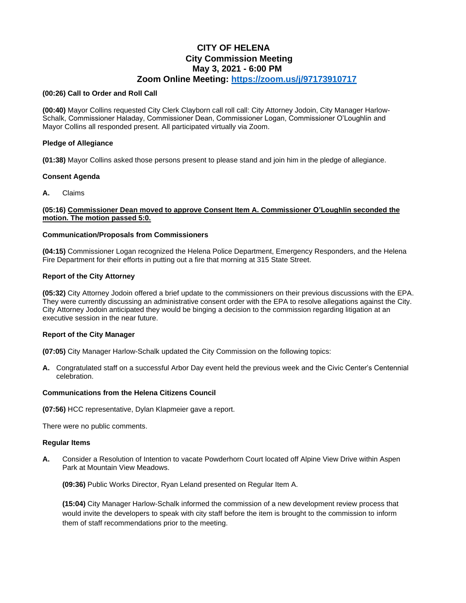# **CITY OF HELENA City Commission Meeting May 3, 2021 - 6:00 PM Zoom Online Meeting:<https://zoom.us/j/97173910717>**

#### **(00:26) Call to Order and Roll Call**

**(00:40)** Mayor Collins requested City Clerk Clayborn call roll call: City Attorney Jodoin, City Manager Harlow-Schalk, Commissioner Haladay, Commissioner Dean, Commissioner Logan, Commissioner O'Loughlin and Mayor Collins all responded present. All participated virtually via Zoom.

# **Pledge of Allegiance**

**(01:38)** Mayor Collins asked those persons present to please stand and join him in the pledge of allegiance.

#### **Consent Agenda**

**A.** Claims

# **(05:16) Commissioner Dean moved to approve Consent Item A. Commissioner O'Loughlin seconded the motion. The motion passed 5:0.**

# **Communication/Proposals from Commissioners**

**(04:15)** Commissioner Logan recognized the Helena Police Department, Emergency Responders, and the Helena Fire Department for their efforts in putting out a fire that morning at 315 State Street.

# **Report of the City Attorney**

**(05:32)** City Attorney Jodoin offered a brief update to the commissioners on their previous discussions with the EPA. They were currently discussing an administrative consent order with the EPA to resolve allegations against the City. City Attorney Jodoin anticipated they would be binging a decision to the commission regarding litigation at an executive session in the near future.

# **Report of the City Manager**

**(07:05)** City Manager Harlow-Schalk updated the City Commission on the following topics:

**A.** Congratulated staff on a successful Arbor Day event held the previous week and the Civic Center's Centennial celebration.

# **Communications from the Helena Citizens Council**

**(07:56)** HCC representative, Dylan Klapmeier gave a report.

There were no public comments.

#### **Regular Items**

**A.** Consider a Resolution of Intention to vacate Powderhorn Court located off Alpine View Drive within Aspen Park at Mountain View Meadows.

**(09:36)** Public Works Director, Ryan Leland presented on Regular Item A.

**(15:04)** City Manager Harlow-Schalk informed the commission of a new development review process that would invite the developers to speak with city staff before the item is brought to the commission to inform them of staff recommendations prior to the meeting.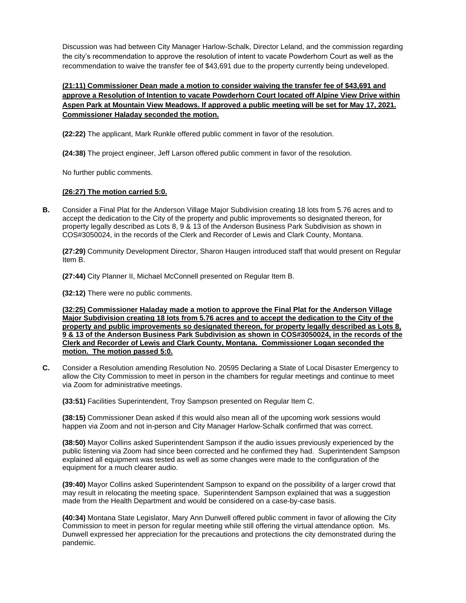Discussion was had between City Manager Harlow-Schalk, Director Leland, and the commission regarding the city's recommendation to approve the resolution of intent to vacate Powderhorn Court as well as the recommendation to waive the transfer fee of \$43,691 due to the property currently being undeveloped.

# **(21:11) Commissioner Dean made a motion to consider waiving the transfer fee of \$43,691 and approve a Resolution of Intention to vacate Powderhorn Court located off Alpine View Drive within Aspen Park at Mountain View Meadows. If approved a public meeting will be set for May 17, 2021. Commissioner Haladay seconded the motion.**

**(22:22)** The applicant, Mark Runkle offered public comment in favor of the resolution.

**(24:38)** The project engineer, Jeff Larson offered public comment in favor of the resolution.

No further public comments.

# **(26:27) The motion carried 5:0.**

**B.** Consider a Final Plat for the Anderson Village Major Subdivision creating 18 lots from 5.76 acres and to accept the dedication to the City of the property and public improvements so designated thereon, for property legally described as Lots 8, 9 & 13 of the Anderson Business Park Subdivision as shown in COS#3050024, in the records of the Clerk and Recorder of Lewis and Clark County, Montana.

**(27:29)** Community Development Director, Sharon Haugen introduced staff that would present on Regular Item B.

**(27:44)** City Planner II, Michael McConnell presented on Regular Item B.

**(32:12)** There were no public comments.

**(32:25) Commissioner Haladay made a motion to approve the Final Plat for the Anderson Village Major Subdivision creating 18 lots from 5.76 acres and to accept the dedication to the City of the property and public improvements so designated thereon, for property legally described as Lots 8, 9 & 13 of the Anderson Business Park Subdivision as shown in COS#3050024, in the records of the Clerk and Recorder of Lewis and Clark County, Montana. Commissioner Logan seconded the motion. The motion passed 5:0.**

**C.** Consider a Resolution amending Resolution No. 20595 Declaring a State of Local Disaster Emergency to allow the City Commission to meet in person in the chambers for regular meetings and continue to meet via Zoom for administrative meetings.

**(33:51)** Facilities Superintendent, Troy Sampson presented on Regular Item C.

**(38:15)** Commissioner Dean asked if this would also mean all of the upcoming work sessions would happen via Zoom and not in-person and City Manager Harlow-Schalk confirmed that was correct.

**(38:50)** Mayor Collins asked Superintendent Sampson if the audio issues previously experienced by the public listening via Zoom had since been corrected and he confirmed they had. Superintendent Sampson explained all equipment was tested as well as some changes were made to the configuration of the equipment for a much clearer audio.

**(39:40)** Mayor Collins asked Superintendent Sampson to expand on the possibility of a larger crowd that may result in relocating the meeting space. Superintendent Sampson explained that was a suggestion made from the Health Department and would be considered on a case-by-case basis.

**(40:34)** Montana State Legislator, Mary Ann Dunwell offered public comment in favor of allowing the City Commission to meet in person for regular meeting while still offering the virtual attendance option. Ms. Dunwell expressed her appreciation for the precautions and protections the city demonstrated during the pandemic.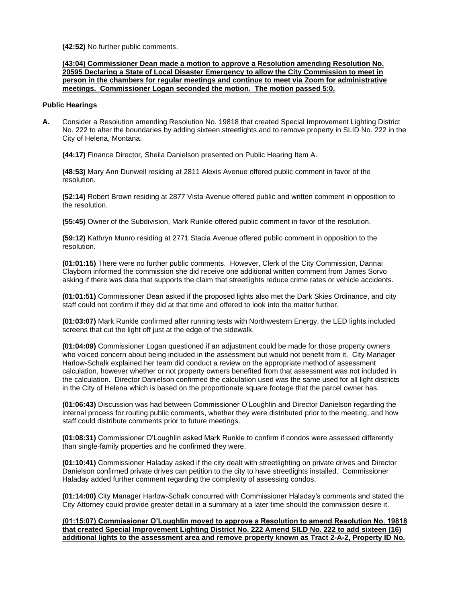**(42:52)** No further public comments.

**(43:04) Commissioner Dean made a motion to approve a Resolution amending Resolution No. 20595 Declaring a State of Local Disaster Emergency to allow the City Commission to meet in person in the chambers for regular meetings and continue to meet via Zoom for administrative meetings. Commissioner Logan seconded the motion. The motion passed 5:0.**

#### **Public Hearings**

**A.** Consider a Resolution amending Resolution No. 19818 that created Special Improvement Lighting District No. 222 to alter the boundaries by adding sixteen streetlights and to remove property in SLID No. 222 in the City of Helena, Montana.

**(44:17)** Finance Director, Sheila Danielson presented on Public Hearing Item A.

**(48:53)** Mary Ann Dunwell residing at 2811 Alexis Avenue offered public comment in favor of the resolution.

**(52:14)** Robert Brown residing at 2877 Vista Avenue offered public and written comment in opposition to the resolution.

**(55:45)** Owner of the Subdivision, Mark Runkle offered public comment in favor of the resolution.

**(59:12)** Kathryn Munro residing at 2771 Stacia Avenue offered public comment in opposition to the resolution.

**(01:01:15)** There were no further public comments. However, Clerk of the City Commission, Dannai Clayborn informed the commission she did receive one additional written comment from James Sorvo asking if there was data that supports the claim that streetlights reduce crime rates or vehicle accidents.

**(01:01:51)** Commissioner Dean asked if the proposed lights also met the Dark Skies Ordinance, and city staff could not confirm if they did at that time and offered to look into the matter further.

**(01:03:07)** Mark Runkle confirmed after running tests with Northwestern Energy, the LED lights included screens that cut the light off just at the edge of the sidewalk.

**(01:04:09)** Commissioner Logan questioned if an adjustment could be made for those property owners who voiced concern about being included in the assessment but would not benefit from it. City Manager Harlow-Schalk explained her team did conduct a review on the appropriate method of assessment calculation, however whether or not property owners benefited from that assessment was not included in the calculation. Director Danielson confirmed the calculation used was the same used for all light districts in the City of Helena which is based on the proportionate square footage that the parcel owner has.

**(01:06:43)** Discussion was had between Commissioner O'Loughlin and Director Danielson regarding the internal process for routing public comments, whether they were distributed prior to the meeting, and how staff could distribute comments prior to future meetings.

**(01:08:31)** Commissioner O'Loughlin asked Mark Runkle to confirm if condos were assessed differently than single-family properties and he confirmed they were.

**(01:10:41)** Commissioner Haladay asked if the city dealt with streetlighting on private drives and Director Danielson confirmed private drives can petition to the city to have streetlights installed. Commissioner Haladay added further comment regarding the complexity of assessing condos.

**(01:14:00)** City Manager Harlow-Schalk concurred with Commissioner Haladay's comments and stated the City Attorney could provide greater detail in a summary at a later time should the commission desire it.

**(01:15:07) Commissioner O'Loughlin moved to approve a Resolution to amend Resolution No. 19818 that created Special Improvement Lighting District No. 222 Amend SILD No. 222 to add sixteen (16) additional lights to the assessment area and remove property known as Tract 2-A-2, Property ID No.**